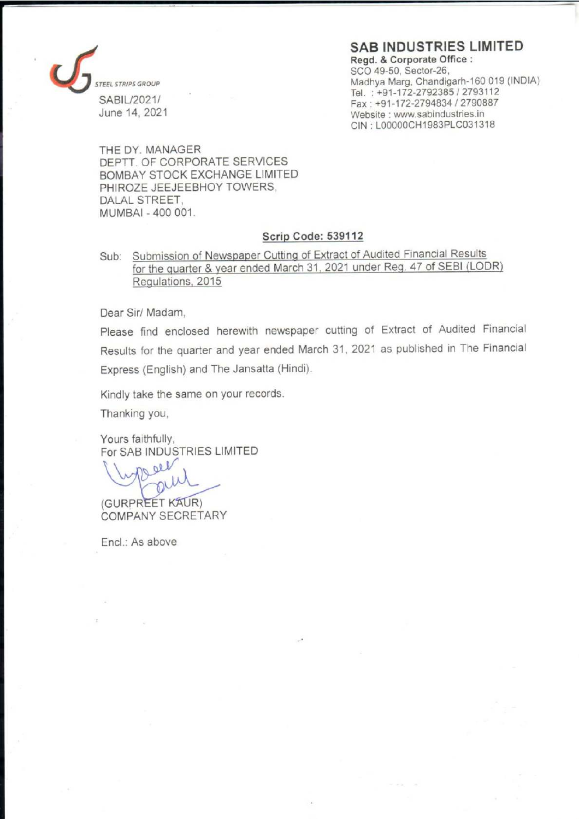### SAB INDUSTRIES LIMITED



Regd. & Corporate Office : SCO 49-50, Sector-26, EEL STRIPS GROUP SAND Madhya Marg, Chandigarh-160 019 (INDIA) Tel. : +91-172-2792385 / 2793112 ae Fax : +91-172-2794834 / 2790887 Website : www.sabindustries.in CIN ; LOO000CH1983PLC031318

THE DY. MANAGER DEPTT. OF CORPORATE SERVICES BOMBAY STOCK EXCHANGE LIMITED PHIROZE JEEJEEBHOY TOWERS, DALAL STREET, MUMBAI - 400 001.

#### Scrip Code: 539112

Sub: Submission of Newspaper Cutting of Extract of Audited Financial Results for the quarter & year ended March 31, 2021 under Reg. 47 of SEBI (LODR) Regulations, 2015

Dear Sir/ Madam,

Please find enclosed herewith newspaper cutting of Extract of Audited Financial Results for the quarter and year ended March 31, 2021 as published in The Financial Express (English) and The Jansatta (Hindi).

Kindly take the same on your records.

Thanking you,

Yours faithfully, For SAB INDUSTRIES LIMITED

(Wypereur)

COMPANY SECRETARY

Encl.: As above

in the contract of the contract of the contract of the contract of the contract of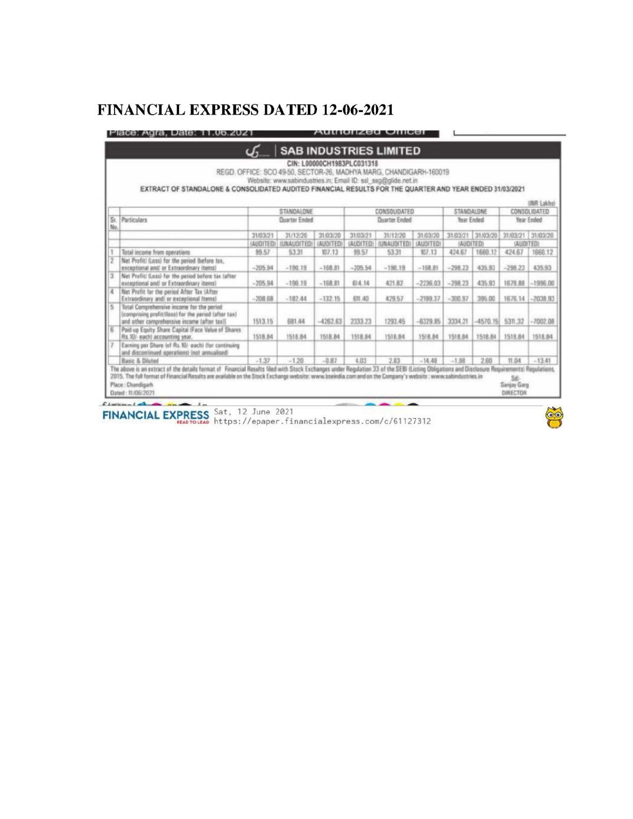# **FINANCIAL EXPRESS DATED 12-06-2021**

#### Place: Agra, Date: 11.06.2021 **Authorized Officer**

| STANDALDNE<br>Year Ended<br>31/03/21 31/03/20 |                                                                                                                                                                                                       | <b>INR Lakhs)</b><br>CONSOLIDATED                                                                                                                                                                                                                                         |
|-----------------------------------------------|-------------------------------------------------------------------------------------------------------------------------------------------------------------------------------------------------------|---------------------------------------------------------------------------------------------------------------------------------------------------------------------------------------------------------------------------------------------------------------------------|
|                                               |                                                                                                                                                                                                       |                                                                                                                                                                                                                                                                           |
|                                               | Year Ended                                                                                                                                                                                            |                                                                                                                                                                                                                                                                           |
|                                               | 31/03/21 31/03/20                                                                                                                                                                                     |                                                                                                                                                                                                                                                                           |
| (AUDITED)                                     | (AUDITED)                                                                                                                                                                                             |                                                                                                                                                                                                                                                                           |
| 1660.12                                       | 424.67                                                                                                                                                                                                | 1660.12                                                                                                                                                                                                                                                                   |
|                                               | $-298.23$                                                                                                                                                                                             | 435.93                                                                                                                                                                                                                                                                    |
|                                               |                                                                                                                                                                                                       |                                                                                                                                                                                                                                                                           |
|                                               |                                                                                                                                                                                                       |                                                                                                                                                                                                                                                                           |
|                                               | 5311.32                                                                                                                                                                                               | $-7002.08$                                                                                                                                                                                                                                                                |
|                                               | 1518.84                                                                                                                                                                                               | 1518.84                                                                                                                                                                                                                                                                   |
|                                               |                                                                                                                                                                                                       |                                                                                                                                                                                                                                                                           |
| 2.60                                          | 11.04                                                                                                                                                                                                 | $-13.41$                                                                                                                                                                                                                                                                  |
|                                               | 435.93<br>435.93<br>395.00<br>1518.84<br>2015. The full format of Financial Results are available on the Stock Exchange website: www.bseindia.com and on the Company's website : www.sabindustries.in | 1678.88 -1996.00<br>1676.14 -2038.93<br>$-4570.15$<br>The above is an extract of the details format of Financial Results filed with Stock Exchanges under Regulation 33 of the SEBI (Listing Obligations and Disclosure Requirements) Regulations.<br>Sdi-<br>Sanjay Garg |

FINANCIAL EXPRESS Sat, 12 June 2021<br>https://epaper.financialexpress.com/c/61127312